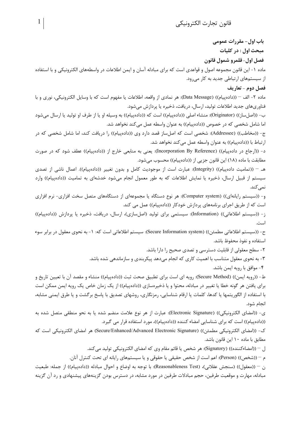باب اول- مقررات عمومی مبحث اول : در کلیات فصل اول- قلمرو شمول قانون ماده ۱- این قانون مجموعه اصول و قواعدی است که برای مبادله آسان و ایمن اطلاعات در واسطههای الکترونیکی و با استفاده از سیستمهای ارتباطی جدید به کار می رود. فصل دوم - تعاريف ماده ٢- الف – ((داده پیام)) (Data Message): هر نمادي از واقعه، اطلاعات يا مفهوم است كه با وسايل الكترونيكي، نوري و با فناوریهای جدید اطلاعات تولید، ارسال، دریافت، ذخیره یا پردازش میشود. ب- ((اصلساز)) (Originator): منشاء اصلي ((دادهپيام)) است كه ((دادهپيام)) به وسيله او يا از طرف او توليد يا ارسال ميشود اما شامل شخصی که در خصوص ((دادهپیام)) به عنوان واسطه عمل میکند نخواهد شد. ج- ((مخاطب)) (Addressee): شخصی است که اصلساز قصد دارد وی ((دادهپیام)) را دریافت کند، اما شامل شخصی که در ارتباط با ((دادهییام)) به عنوان واسطه عمل می کند نخواهد شد. د- ((ارجاع در دادهییام)) (Incorporation By Reference): یعنی به منابعی خارج از ((دادهییام)) عطف شود که در صورت مطابقت با ماده (١٨) اين قانون جزيي از ((دادهپيام)) محسوب مي شود. هـ – ((تماميت دادهييام)) (Integrity): عبارت است از موجوديت كامل و بدون تغيير ((دادهييام)). اعمال ناشي از تصدي سیستم از قبیل ارسال، ذخیره یا نمایش اطلاعات که به طور معمول انجام میشود خدشهای به تمامیت ((دادهپیام)) وارد نمہ کند. و- ((سیستم رایانهای)) (Computer system): هر نوع دستگاه یا مجموعهای از دستگاههای متصل سخت افزاری- نرم افزاری است که از طریق اجرای برنامههای پردازش خودکار ((دادهپیام)) عمل می کند. ز- ((سیستم اطلاعاتی)) (Information): سیستمی برای تولید (اصلِسازی)، ارسال، دریافت، ذخیره یا پردازش ((دادهییام)) است. ح- ((سيستم اطلاعاتي مطمئن)) (Secure Information system): سيستم اطلاعاتي است كه: ١- به نحوي معقول در برابر سوء استفاده و نفوذ محفوظ باشد. ۲- سطح معقولی از قابلیت دسترسی و تصدی صحیح را دارا باشد. ۳- به نحوی معقول متناسب با اهمیت کاری که انجام میدهد پیکربندی و سازماندهی شده باشد. ۴- موافق با رویه ایمن باشد. ط- ((رويه ايمن)) (Secure Method): رويه اي است براي تطبيق صحت ثبت ((دادهييام)) منشاء و مقصد آن با تعيين تاريخ و برای یافتن هر گونه خطا یا تغییر در مبادله، محتوا و یا ذخیرهسازی ((دادهپیام)) از یک زمان خاص یک رویه ایمن ممکن است با استفاده از الگوریتمها یا کدها، کلمات یا ارقام شناسایی، رمزنگاری، روشهای تصدیق با پاسخ برگشت و یا طرق ایمنی مشابه، انجام شود. ى- ((امضاى الكترونيكي)) (Electronic Signature): عبارت از هر نوع علامت منضم شده يا به نحو منطقى متصل شده به ((دادهپیام)) است که برای شناسایی امضاء کننده ((دادهپیام))، مورد استفاده قرار می گیرد. ك- ((امضاى الكترونيكي مطمئن)) (Secure/Enhanced/Advanced Electronic Signature) هر امضاى الكترونيكي است كه مطابق با ماده ۱۰ این قانون باشد. ل – ((امضاءكننده)) (Signatory): هر شخص يا قائم مقام وي كه امضاي الكترونيكي توليد مي كند. م – ((شخص)) (Person): اعم است از شخص حقیقی یا حقوقی و یا سیستمهای رایانه ای تحت کنترل آنان. ن – ((معقول)) (سنجش عقلاني)، (Reasonableness Test): با توجه به اوضاع و احوال مبادله ((دادهپیام)) از جمله: طبعيت

مبادله، مهارت و موقعیت طرفین، حجم مبادلات طرفین در مورد مشابه، در دسترس بودن گزینههای پیشنهادی و رد آن گزینه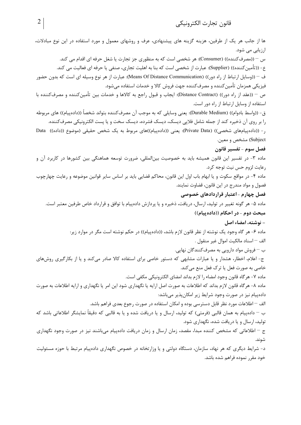ها از جانب هر یک از طرفین، هزینه گزینه های پیشنهادی، عرف و روشهای معمول و مورد استفاده در این نوع مبادلات، ارزیابی می شود. س – ((مصرف كننده)) (Consumer): هر شخصي است كه به منظوري جز تجارت يا شغل حرفه اي اقدام مي كند. ع- ((تأمين كننده)) (Supplier): عبارت از شخصي است كه بنا به اهليت تجارى، صنفي يا حرفه اي فعاليت مي كند. ف – ((وسایل ارتباط از راه دور)) (Means Of Distance Communication): عبارت از هر نوع وسیله ای است که بدون حضور فيزيكي همزمان تأمين كننده و مصرف كننده جهت فروش كالا و خدمات استفاده مي شود. ص – ((عقد از راه دور)) (Distance Contract): ایجاب و قبول راجع به کالاها و خدمات بین تأمین کننده و مصرف کننده با استفاده از وسایل ارتباط از راه دور است. ق- ((واسط بادوام)) (Durable Medium): يعني وسايلي كه به موجب آن مصرف¢كننده بتواند شخصاً ((دادهپيام)) هاي مربوطه را بر روی آن ذخیره کند از جمله شامل فلایی دیسک، دیسک فشرده، دیسک سخت و یا پست الکترونیکی مصرفکننده. ر- ((داده پیامهای شخصی)) (Private Data): یعنی ((داده پیام))های مربوط به یک شخص حقیقی (موضوع ((داده)) Data Subject) مشخص و معین. فصل سوم – تفسير قانون ماده ۳- در تفسیر این قانون همیشه باید به خصوصیت بینالمللی، ضرورت توسعه هماهنگی بین کشورها در کاربرد آن و رعايت لزوم حس نيت توجه كرد. ماده ۴- در مواقع سکوت و یا ابهام باب اول این قانون، محاکم قضایی باید بر اساس سایر قوانین موضوعه و رعایت چهارچوب فصول و مواد مندرج در این قانون، قضاوت نمایند. فصل چهارم - اعتبار قراردادهای خصوصی ماده ۵- هر گونه تغییر در تولید، ارسال، دریافت، ذخیره و یا پردازش دادهپیام با توافق و قرارداد خاص طرفین معتبر است. مبحث دوم - در احکام ((داده پیام)) – نوشته، امضاء اصل ماده ۶- هر گاه وجود یک نوشته از نظر قانون لازم باشد، ((دادهپیام)) در حکم نوشته است مگر در موارد زیر: الف – اسناد مالكيت اموال غير منقول . ب – فروش مواد دارويي به مصرف كنندگان نهايي. ج- اعلام، اخطار، هشدار و یا عبارات مشابهی که دستور خاصی برای استفاده کالا صادر میکند و یا از بکارگیری روشهای خاصی به صورت فعل یا ترک فعل منع می کند. ماده ٧- هر گاه قانون وجود امضاء را لازم بداند امضاي الكترونيكي مكفي است. ماده ۸- هرگاه قانون لازم بداند که اطلاعات به صورت اصل ارايه يا نگهداري شود اين امر يا نگهداري و ارايه اطلاعات به صورت دادهپیام نیز در صورت وجود شرایط زیر امکانپذیر میباشد: الف — اطلاعات مورد نظر قابل دسترسی بوده و امکان استفاده در صورت رجوع بعدی فراهم باشد. ب – دادهپیام به همان قالبی (فرمتی) که تولید، ارسال و یا دریافت شده و یا به قالبی که دقیقاً نمایشگر اطلاعاتی باشد که تولید، ارسال و یا دریافت شده، نگهداری شود. ج – اطلاعاتی که مشخص کننده مبدا، مقصد، زمان ارسال و زمان دریافت دادهپیام میباشند نیز در صورت وجود نگهداری شوند. د- شرایط دیگری که هر نهاد، سازمان، دستگاه دولتی و یا وزارتخانه در خصوص نگهداری دادهپیام مرتبط با حوزه مسئولیت خود مقرر نموده فراهم شده باشد.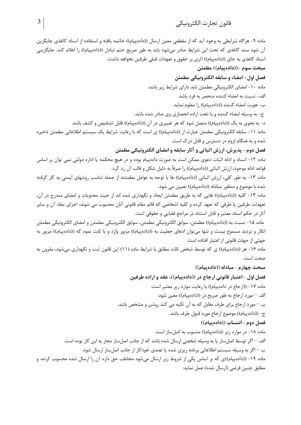قانون تجارت الكترونيكي

ماده ۹- هرگاه شرایطی به وجود آید که از مقطعی معین ارسال ((دادهپیام)) خاتمه یافته و استفاده از اسناد کاغذی جایگزین آن شود سند كاغذى كه تحت اين شرايط صادر مىشود بايد به طور صريح ختم تبادل ((دادهپيام)) را اعلام كند. جايگزينى اسناد کاغذی به جای ((دادهییام)) اثری بر حقوق و تعهدات قبلی طرفین نخواهد داشت. مبحث سوم –((دادهپیام)) مطمئن فصل اول- امضاء و سابقه الكترونيكي مطمئن ماده ١٠- امضاى الكترونيكي مطمئن بايد داراي شرايط زير باشد: الف- نسبت به امضاء كننده منحصر به فرد باشد. ب- هويت امضاء كننده ((دادهپيام)) را معلوم نمايد. ج- به وسیله امضاء کننده و یا تحت اراده انحصاری وی صادر شده باشد. د- به نحوی به یک ((دادهپیام)) متصل شود که هر تغییری در آن ((دادهپیام)) قابل تشخیص و کشف باشد. ماده ١١- سابقه الكترونيكي مطمئن عبارت از ((دادهپيام)) ي است كه با رعايت شرايط يک سيستم اطلاعاتي مطمئن ذخيره شده و به هنگام لزوم در دسترس و قابل در ک است. فصل دوم- پذیرش، ارزش اثباتی و آثار سابقه و امضای الکترونیکی مطمئن ماده ١٢- اسناد و ادله اثبات دعوى ممكن است به صورت دادهپيام بوده و در هيچ محكمه يا اداره دولتي نمي توان بر اساس قواعد ادله موجود، ارزش اثباتی ((دادهییام)) ,ا صرفاً به دلیل شکل و قالب آن ,د کرد. ماده ١٣- به طور كلي، ارزش اثباتي ((دادهپيام)) ها با توجه به عوامل مطمئنه از جمله تناسب روشهاي ايمني به كار گرفته شده با موضوع و منظور مبادله ((دادهپیام)) تعیین می شود. ماده ۱۴- کلیه ((دادهپیام)) هایی که به طریق مطمئن ایجاد و نگهداری شده اند از حیث محتویات و امضای مندرج در آن، تعهدات طرفین یا طرفی که تعهد کرده و کلیه اشخاصی که قائم مقام قانونی آنان محسوب می شوند، اجرای مفاد آن و سایر آثار در حکم اسناد معتبر و قابل استناد در مراجع قضایی و حقوقی است. ماده ۱۵– نسبت به ((دادهپیام)) مطمئن، سوابق الکترونیکی مطمئن، سوابق الکترونیکی مطمئن و امضای الکترونیکی مطمئن انکار و تردید مسموع نیست و تنها میتوان ادعای جعلیت به ((دادهپیام)) مزبور وارد و یا ثابت نمود که ((دادهپیام)) مزبور به جهتی از جهات قانونی از اعتبار افتاده است. ماده ۱۶- هر ((دادهپیام)) ی که توسط شخص ثالث مطابق با شرایط ماده (۱۱) این قانون ثبت و نگهداری میشود، مقرون به صحت است. مبحث چهارم - مبادله ((داده پیام)) فصل اول -اعتبار قانونی ارجاع در ((دادهپیام))، عقد و اراده طرفین ماده ١٧- ((ارجاع در دادهپیام)) با رعایت موارد زیر معتبر است: الف – مورد ارجاع به طور صریح در ((دادهپیام)) معین شود. ب – مورد ارجاع برای طرف مقابل که به آن تکیه می کند روشن و مشخص باشد. ج- ((دادهپیام)) موضوع ارجاع مورد قبول طرف باشد. فصل دوم -انتساب ((داده پیام)) ماده ۱۸- در موارد زیر ((دادهپیام)) منسوب به اصلساز است. الف – اگر توسط اصل ساز یا به وسیله شخصی ارسال شده باشد که از جانب اصل ساز مجاز به این کار بوده است. ب — اگر به وسیله سیستم اطلاعاتی برنامه ریزی شده یا تصدی خودکار از جانب اصلساز ارسال شود. ماده ١٩- ((دادهپیام))ی که بر اساس یکی از شروط زیر ارسال میشود مخاطب حق دارد آن را ارسال شده محسوب کرده، و مطابق چنین فرضی (ارسال شده) عمل نماید: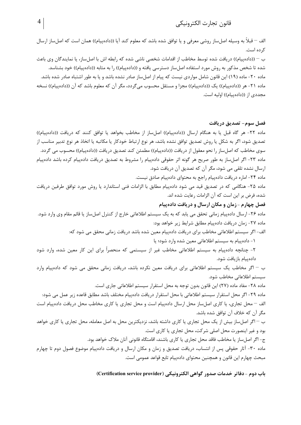الف – قبلاً به وسيله اصلساز روشي معرفي و يا توافق شده باشد كه معلوم كند آيا ((دادهپيام)) همان است كه اصلساز ارسال کر ده است.

ب – ((دادهپیام)) دریافت شده توسط مخاطب از اقدامات شخصی ناشی شده که رابطه اش با اصلساز، یا نمایندگان وی باعث شده تا شخص مذکور به روش مورد استفاده اصلساز دسترسی یافته و ((دادهپیام)) را به مثابه ((دادهپیام)) خود بشناسد. ماده ۲۰- ماده (۱۹) این قانون شامل مواردی نیست که پیام از اصلساز صادر نشده باشد و یا به طور اشتباه صادر شده باشد. ماده ٢١- هر ((دادهییام)) یک ((دادهییام)) مجزا و مستقل محسوب می گردد، مگر آن که معلوم باشد که آن ((دادهییام)) نسخه مجددی از ((دادهییام)) اولیه است.

فصل سوم– تصديق دريافت ماده ٢٢- هر گاه قبل يا به هنگام ارسال ((دادهييام)) اصلساز از مخاطب بخواهد يا توافق كنند كه دريافت ((دادهييام)) تصدیق شود، اگر به شکل یا روش تصدیق توافق نشده باشد، هر نوع ارتباط خودکار یا مکاتبه یا اتخاذ هر نوع تدبیر مناسب از سوی مخاطب که اصلساز را نحو معقول از دریافت ((دادهپیام)) مطمئن کند تصدیق دریافت ((دادهپیام)) محسوب می گردد. ماده ٢٣- اگر اصلساز به طور صريح هر گونه اثر حقوقي دادهييام را مشروط به تصديق دريافت دادهييام كرده باشد دادهييام ا, سال نشده تلقی می شود، مگر آن که تصدیق آن دریافت شود.

ماده ٢۴- اماره دريافت دادهپيام راجع به محتواي دادهپيام صادق نيست. ماده ۲۵- هنگامی که در تصدیق قید می شود دادهپیام مطابق با الزامات فنی استاندارد یا روش مورد توافق طرفین دریافت شده، فرض بر این است که آن الزامات رعایت شده اند.

ماده ۲۶- ارسال دادهییام زمانی تحقق می پابد که به یک سیستم اطلاعاتی خارج از کنترل اصلِساز یا قائم مقام وی وارد شود. ماده ٢٧- زمان دريافت دادهپيام مطابق شرايط زير خواهد بود:

الف- اگر سیستم اطلاعاتی مخاطب برای دریافت دادهپیام معین شده باشد دریافت زمانی محقق می شود که:

١- دادهییام به سیستم اطلاعاتی معین شده وارد شود؛ یا

فصل چهارم - زمان و مکان ارسال و دریافت دادهییام

۲- چنانچه دادهپیام به سیستم اطلاعاتی مخاطب غیر از سیستمی که منحصراً برای این کار معین شده، وارد شود دادهییام بازیافت شود.

ب – اگر مخاطب یک سیستم اطلاعاتی برای دریافت معین نکرده باشد، دریافت زمانی محقق می شود که دادهپیام وارد سيستم اطلاعاتي مخاطب شود.

ماده ٢٨- مفاد ماده (٢٧) اين قانون بدون توجه به محل استقرار سيستم اطلاعاتي جاري است.

ماده ۲۹- اگر محل استقرار سیستم اطلاعاتی با محل استقرار دریافت دادهپیام مختلف باشد مطابق قاعده زیر عمل می شود: الف – محل تجارى، يا كارى اصلساز محل ارسال دادهپيام است و محل تجارى يا كارى مخاطب محل دريافت دادهپيام است مگر آن که خلاف آن توافق شده باشد.

ب – اگر اصلساز بیش از یک محل تجاری یا کاری داشته باشد، نزدیکترین محل به اصل معامله، محل تجاری یا کاری خواهد بود و غیر اینصورت محل اصلی شرکت، محل تجاری یا کاری است.

ج- اگر اصلساز یا مخاطب فاقد محل تجاری یا کاری باشند، اقامتگاه قانونی آنان ملاک خواهد بود.

ماده ۳۰- آثار حقوقی پس از انتساب، دریافت تصدیق و زمان و مکان ارسال و دریافت دادهپیام موضوع فصول دوم تا چهارم مبحث چهارم این قانون و همچنین محتوای دادهییام تابع قواعد عمومی است.

باب دوم - دفاتر خدمات صدور گواهي الكترونيكي (Certification service provider)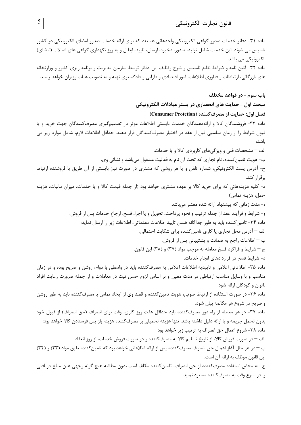ماده ۳۱- دفاتر خدمات صدور گواهی الکترونیکی واحدهائی هستند که برای ارائه خدمات صدور امضای الکترونیکی در کشور تاسیس می شوند. این خدمات شامل تولید، صدور، ذخیره، ارسال، تایید، ابطال و به روز نگهداری گواهی های اصالات (امضای) الکترونیکی می باشد. ماده ۳۲- آئین نامه و ضوابط نظام تاسیس و شرح وظایف این دفاتر توسط سازمان مدیریت و برنامه ریزی کشور و وزارتخانه های بازر گانی، ارتباطات و فناوری اطلاعات، امور اقتصادی و دارایی و دادگستری تهیه و به تصویب هیات وزیران خواهد رسید. باب سوم - در قواعد مختلف مبحث اول - حمایت های انحصاری در بستر مبادلات الکترونیکی فصل اول: حمايت از مصرف كننده (Consumer Protction)

ماده ۳۳- فروشندگان کالا و ارائهدهندگان خدمات بایستی اطلاعات موثر در تصمیمگیری مصرفکنندگان جهت خرید و یا قبول شرايط ,ا از زمان مناسبي قبل از عقد در اختيار مصرفكنندگان قرار دهند. حداقل اطلاعات لازم، شامل موارد زير مي ىاشد:

الف – مشخصات فنی و ویژگیهای کاربردی کالا و یا خدمات.

ب– هويت تامين كننده، نام تجاري كه تحت آن نام به فعاليت مشغول مي باشد و نشاني وي.

ج- آدرس پست الکترونیکی، شماره تلفن و یا هر روشی که مشتری در صورت نیاز بایستی از آن طریق با فروشنده ارتباط برقرار كند.

د- کلیه هزینههائی که برای خرید کالا بر عهده مشتری خواهد بود (از جمله قیمت کالا و یا خدمات، میزان مالیات، هزینه حمل، هزينه تماس)

و- شرايط و فرآيند عقد از جمله ترتيب و نحوه پرداخت، تحويل و يا اجرا، فسخ، ارجاع خدمات پس از فروش.

ماده ۳۴- تامین کننده باید به طور جداگانه ضمن تایید اطلاعات مقدماتی، اطلاعات زیر را ارسال نماید:

الف – آدرس محل تجاري يا كاري تامين كننده براي شكايت احتمالي.

ب – اطلاعات راجع به ضمانت و پشتیبانی پس از فروش. ج – شرايط و فراگرد فسخ معامله به موجب مواد (۳۷) و (۳۸) اين قانون.

د- شرایط فسخ در قراردادهای انجام خدمات.

ماده ۳۵- اطلاعاتی اعلامی و تاییدیه اطلاعات اعلامی به مصرفکننده باید در واسطی با دوام، روشن و صریح بوده و در زمان مناسب و با وسایل مناسب ارتباطی در مدت معین و بر اساس لزوم حسن نیت در معاملات و از جمله ضرورت رعایت افراد ناتوان و کودکان ارائه شود.

ماده ۳۶- در صورت استفاده از ارتباط صوتی، هویت تامین کننده و قصد وی از ایجاد تماس با مصرف کننده باید به طور روشن و صریح در شروع هر مکالمه بیان شود.

ماده ۳۷- در هر معامله از راه دور مصرفکننده باید حداقل هفت روز کاری، وقت برای انصراف (حق انصراف) از قبول خود بدون تحمل جريمه و يا ارائه دليل داشته باشد. تنها هزينه تحميلي بر مصرف كننده هزينه باز يس فرستادن كالا خواهد بود: ماده ٣٨- شروع اعمال حق انصراف به ترتيب زير خواهد بود:

الف – در صورت فروش كالا، از تاريخ تسليم كالا به مصرف كننده و در صورت فروش خدمات، از روز انعقاد.

ب – در هر حال آغاز اعمال حق انصراف مصرف كننده پس از ارائه اطلاعاتي خواهد بود كه تامين كننده طبق مواد (٣٣) و (٣۴) این قانون موظف به ارائه آن است.

ج- به محض استفاده مصرف كننده از حق انصراف، تامين كننده مكلف است بدون مطالبه هيچ گونه وجهي عين مبلغ دريافتي را در اسرع وقت به مصرف كننده مسترد نمايد.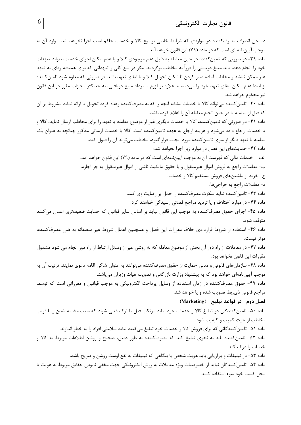د- حق انصراف مصرفکننده در مواردی که شرایط خاصی بر نوع کالا و خدمات حاکم است اجرا نخواهد شد. موارد آن به موجب آییننامه ای است که در ماده (۷۹) این قانون خواهد آمد. ماده ۳۹- در صورتی که تامین کننده در حین معامله به دلیل عدم موجودی کالا و یا عدم امکان اجرای خدمات، نتواند تعهدات خود را انجام دهد، باید مبلغ دریافتی را فوراً به مخاطب برگرداند، مگر در بیع کلی و تعهداتی که برای همیشه وفای به تعهد غیر ممکن نباشد و مخاطب آماده صبر کردن تا امکان تحویل کالا و یا ایفای تعهد باشد. در صورتی که معلوم شود تامین کننده از ابتدا عدم امکان ایفای تعهد خود را میدانسته. علاوه بر لزوم استرداد مبلغ دریافتی، به حداکثر مجازات مقرر در این قانون نیز محکوم خواهد شد. ماده ۴۰- تامین کننده میتواند کالا یا خدمات مشابه آنچه را که به مصرفکننده وعده کرده تحویل یا ارائه نماید مشروط بر آن كه قبل از معامله يا در حين انجام معامله آن را اعلام كرده باشد. ماده ۴۱- در صورتی که تامین کننده، کالا یا خدمات دیگری غیر از موضوع معامله یا تعهد را برای مخاطب ارسال نماید، کالا و یا خدمات ارجاع داده می شود و هزینه ارجاع به عهده تامین کننده است. کالا یا خدمات ارسالی مذکور چنانچه به عنوان یک معامله یا تعهد دیگر از سوی تامین کننده مورد ایجاب قرار گیرد، مخاطب میتواند آن را قبول کند. ماده ۴۲- حمایتهای این فصل در موارد زیر اجرا نخواهد شد: الف – خدمات مالی که فهرست آن به موجب آیین نامهای است که در ماده (۷۹) این قانون خواهد آمد. ب- معاملات راجع به فروش اموال غیرمنقول و یا حقوق مالکیت ناشی از اموال غیرمنقول به جز اجاره. ج- خرید از ماشینهای فروش مستقیم کالا و خدمات. د- معاملات راجع به حراجي ها. ماده ۴۳- تامین کننده نباید سکوت مصرف کننده را حمل بر رضایت وی کند. ماده ۴۴- در موارد اختلاف و یا تردید مراجع قضائی رسیدگی خواهند کرد. ماده ۴۵- اجرای حقوق مصرفکننده به موجب این قانون نباید بر اساس سایر قوانین که حمایت ضعیفتری اعمال میکنند متوقف شود. ماده ۴۶- استفاده از شروط قراردادی خلاف مقررات این فصل و همچنین اعمال شروط غیر منصفانه به ضرر مصرفکننده، موثر نيست. ماده ۴۷- در معاملات از راه دور آن بخش از موضوع معامله که به روشی غیر از وسائل ارتباط از راه دور انجام می شود مشمول مقررات این قانون نخواهد بود. ماده ۴۸- سازمانهای قانونی و مدنی حمایت از حقوق مصرفکننده میتوانند به عنوان شاکی اقامه دعوی نمایند. ترتیب آن به موجب آییننامهای خواهد بود که به پیشنهاد وزارت بازرگانی و تصویب هیات وزیران میباشد. ماده ۴۹- حقوق مصرفکننده در زمان استفاده از وسایل پرداخت الکترونیکی به موجب قوانین و مقرراتی است که توسط مراجع قانونی ذی ربط تصویب شده و یا خواهد شد. فصل دوم - در قواعد تبليغ - (Marketing) ماده ۵۰- تامین کنندگان در تبلیغ کالا و خدمات خود نباید مرتکب فعل یا ترک فعلی شوند که سبب مشتبه شدن و یا فریب مخاطب از حیث کمیت و کیفیت شود. ماده ۵۱- تامین کنندگانی که برای فروش کالا و خدمات خود تبلیغ میکنند نباید سلامتی افراد را به خطر اندازند. ماده ۵۲- تامینکننده باید به نحوی تبلیغ کند که مصرفکننده به طور دقیق، صحیح و روشن اطلاعات مربوط به کالا و خدمات ,ا د, ک کند. ماده ۵۳- در تبلیغات و بازاریابی باید هویت شخص یا بنگاهی که تبلیغات به نفع اوست روشن و صریح باشد. ماده ۵۴- تامین کنندگان نباید از خصوصیات ویژه معاملات به روش الکترونیکی جهت مخفی نمودن حقایق مربوط به هویت یا محل کسب خود سوء استفاده کنند.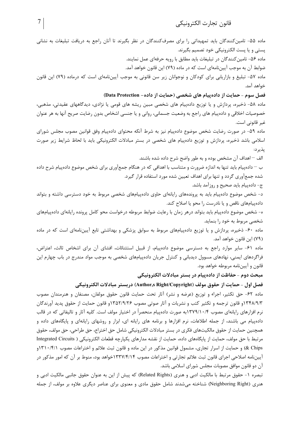ماده ۵۵- تامینکنندگان باید تمهیداتی را برای مصرفکنندگان در نظر بگیرند تا آنان راجع به دریافت تبلیغات به نشانی پستی و یا پست الکترونیکی خود تصمیم بگیرند. ماده ۵۶- تامین کنندگان در تبلیغات باید مطابق با رویه حرفهای عمل نمایند.

ضوابط آن به موجب آییننامهای است که در ماده (۷۹) این قانون خواهد آمد.

ماده ۵۷- تبلیغ و بازاریابی برای کودکان و نوجوانان زیر سن قانونی به موجب آییننامهای است که درماده (۷۹) این قانون خواهد آمد.

فصل سوم - حمایت از دادهپیام های شخصی (حمایت از داده- Data Protection)

ماده ۵۸- ذخیره، پردازش و یا توزیع دادهپیام های شخصی مبین ریشه های قومی یا نژادی، دیدگاههای عقیدتی، مذهبی، خصوصیات اخلاقی و دادهپیام های راجع به وضعیت جسمانی، روانی و یا جنسی اشخاص بدون رضایت صریح آنها به هر عنوان غير قانوني است.

ماده ۵۹- در صورت رضایت شخص موضوع دادهپیام نیز به شرط آنکه محتوای دادهپیام وفق قوانین مصوب مجلس شورای اسلامی باشد ذخیره، پردازش و توزیع دادهپیام های شخصی در بستر مبادلات الکترونیکی باید با لحاظ شرایط زیر صورت يذير د:

الف — اهداف آن مشخص بوده و به طور واضح شرح داده شده باشند.

ب — دادهپیام باید تنها به اندازه ضرورت و متناسب با اهدافی که در هنگام جمعآوری برای شخص موضوع دادهپیام شرح داده شده جمعآوری گردد و تنها برای اهداف تعیین شده مورد استفاده قرار گیرد.

ج- دادهییام باید صحیح و روزآمد باشد.

د- شخص موضوع دادهپیام باید به پروندههای رایانهای حاوی دادهپیامهای شخصی مربوط به خود دسترسی داشته و بتواند دادهییامهای ناقص و یا نادرست را محو یا اصلاح کند.

ه- شخص موضوع دادهپیام باید بتواند درهر زمان با رعایت ضوابط مربوطه درخواست محو کامل پرونده رایانهای دادهپیامهای شخصی مربوط به خود را بنماید.

ماده ۶۰- ذخیره، پردازش و یا توزیع دادهپیامهای مربوط به سوابق پزشکی و بهداشتی تابع آییننامهای است که در ماده (۷۹) این قانون خواهد آمد.

ماده ۶۱- سایر موارد راجع به دسترسی موضوع دادهپیام، از قبیل استثنائات، افشای آن برای اشخاص ثالث، اعتراض، فراگردهای ایمنی، نهادهای مسوول دیدبانی و کنترل جریان دادهپیامهای شخصی به موجب مواد مندرج در باب چهارم این قانون و آييننامه مربوطه خواهد بود.

مبحث دوم - حفاظت از داده پیام در بستر مبادلات الکترونیکی

فصل اول - حمايت از حقوق مولف (Author,s Right/Copyright) دربستر مبادلات الكترونيكي

ماده ۶۲- حق تکثیر، اجراء و توزیع (عرضه و نشر) آثار تحت حمایت قانون حقوق مولفان، مصنفان و هنرمندان مصوب ۹/۳۴۸/۹/۳ وقانون ترجمه و تكثير كتب و نشريات و آثار صوتي مصوب ۱۳۵۲/۹/۲۶و قانون حمايت از حقوق پديد آورندگان نرم افزارهای رایانهای مصوب ۱۳۷۹/۱۰/۴به صورت دادهییام منحصراً در اختیار مولف است. کلیه آثار و تالیفاتی که در قالب دادهییام می باشند، از جمله اطلاعات، نرم افزارها و برنامه های رایانه ای، ابزار و روشهای رایانهای و پایگاههای داده و همچنین حمایت از حقوق مالکیتهای فکری در بستر مبادلات الکترونیکی شامل حق اختراع، حق طراحی، حق مولف، حقوق مرتبط با حق مولف، حمايت از پايگاههاى داده، حمايت از نقشه مدارهاى يكپارچه قطعات الكترونيكى ( Integrated Circuits & Chips) و حمایت از اسرار تجاری، مشمول قوانین مذکور در این ماده و قانون ثبت علائم و اختراعات مصوب ۱۳۱۰/۴/۱و آییننامه اصلاحی اجرای قانون ثبت علائم تجارتی و اختراعات مصوب ۱۳۳۷/۴/۱۴خواهد بود، منوط بر آن که امور مذکور در آن دو قانون موافق مصوبات مجلس شورای اسلامی باشد.

تبصره ١- حقوق مرتبط با مالكيت ادبي و هنري (Related Rights) كه پيش از اين به عنوان حقوق جانبي مالكيت ادبي و هنری (Neighboring Right) شناخته می شدند شامل حقوق مادی و معنوی برای عناصر دیگری علاوه بر مولف، از جمله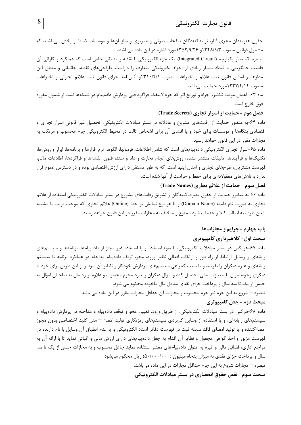حقوق هنرمندان مجری آثار، تولیدکنندگان صفحات صوتی و تصویری و سازمانها و موسسات ضبط و پخش میباشند که مشمول قوانین مصوب ۱۳۴۸/۹/۳ و ۱۳۵۲/۹/۲۶مورد اشاره در این ماده می باشند.

تبصره ۲- مدار یکپارچه (Integrated Circuit) یک جزء الکترونیکی با نقشه و منطقی خاص است که عملکرد و کارائی آن قابلیت جایگزینی با تعداد بسیار زیادی از اجزاء الکترونیکی متعارف را داراست. طراحیهای نقشه، جانمائی و منطق این مدارها بر اساس قانون ثبت علائم و اختراعات مصوب ۱۳۱۰/۴/۱ آئینiمه اجرای قانون ثبت علائم تجارتی و اختراعات مصوب ۱۳۳۷/۴/۱۴مورد حمایت می باشد.

ماه ۶۳- اعمال موقت تکثیر، اجراء و توزیع اثر که جزء لاینفک فراگرد فنی پردازش دادهپیام در شبکهها است از شمول مقرره فوق خارج است.

#### فصل دوم - حمایت از اسرار تجاری (Trade Secrets)

ماده ۶۴-به منظور حمایت از رقابتهای مشروع و عادلانه در بستر مبادلات الکترونیکی، تحصیل غیر قانونی اسرار تجاری و اقتصادی بنگاهها و موسسات برای خود و یا افشای آن برای اشخاص ثالث در محیط الکترونیکی جرم محسوب و مرتکب به مجازات مقرر در این قانون خواهد رسید.

ماده ۶۵–اسرار تجاری الکترونیکی دادهپیامهای است که شامل اطلاعات، فرمولها، الگوها، نرم افزارها و برنامهها، ابزار و روشها، تكنيكـها و فرأيندها، تاليفات منتشر نشده، روشهاى انجام تجارت و داد و ستد، فنون، نقشهها و فراگردها، اطلاعات مالي، فهرست مشتریان، طرحهای تجاری و امثال اینها است، که به طور مستقل دارای ارزش اقتصادی بوده و در دسترس عموم قرار ندارد و تلاش های معقولانهای برای حفظ و حراست از آنها شده است.

# فصل سوم - حمايت از علائم تجاري (Trade Names)

ماده ۶۶-به منظور حمایت از حقوق مصرفکنندگان و تشویق رقابتهای مشروع در بستر مبادلات الکترونیکی استفاده از علائم تجاري به صورت نام دامنه (Domain Name) و يا هر نوع نمايش بر خط (Online) علائم تجاري كه موجب فريب يا مشتبه شدن طرف به اصالت کالا و خدمات شود ممنوع و متخلف به مجازات مقرر در این قانون خواهد رسید.

### باب چهارم - جرايم و مجازاتها

### مبحث اول- کلاهبرداری کامپیوتری

ماده ۶۷-هر کس در بستر مبادلات الکترونیکی، با سوء استفاده و یا استفاده غیر مجاز از دادهپیامها، برنامهها و سیستمهای رایانهای و وسایل ارتباط از راه دور و ارتکاب افعالی نظیر ورود، محو، توقف دادهپیام مداخله در عملکرد برنامه یا سیستم رایانهای و غیره دیگران را بفریبد و یا سبب گمراهی سیستمهای پردازش خودکار و نظایر آن شود و از این طریق برای خود یا دیگری وجوه، اموال یا امتیازات مالی تحصیل کند و اموال دیگران را ببرد مجرم محسوب و علاوه بر رد مال به صاحبان اموال به حبس از یک تا سه سال و پرداخت جزای نقدی معادل مال ماخوذه محکوم می شود.

تبصره – شروع به این جرم نیز جرم محسوب و مجازات آن حداقل مجازات مقرر در این ماده می باشد.

### مبحث دوم - جعل کامپیوتری

ماده ۶۸-هرکس در بستر مبادلات الکترونیکی، از طریق ورود، تغییر، محو و توقف دادهپیام و مداخله در پردازش دادهپیام و سیستمهای رایانهای، و یا استفاده از وسایل کاربردی سیستمهای رمزنگاری تولید امضاء – مثل کلید اختصاصی بدون مجوز امضاءكننده و يا توليد امضاي فاقد سابقه ثبت در فهرست دفاتر اسناد الكترونيكي و يا عدم انطباق آن وسايل با نام دارنده در فهرست مزبور و اخذ گواهی مجعول و نظایر آن اقدام به جعل دادهپیامهای دارای ارزش مالی و اثباتی نماید تا با ارائه آن به مراجع اداری، قضائی مالی و غیره به عنوان دادهپیامهای معتبر استفاده نماید جاعل محسوب و به مجازات حبس از یک تا سه سال و پرداخت جزای نقدی به میزان پنجاه میلیون (۵۰/۰۰۰/۰۰۰) ریال محکوم می شود.

تبصره – مجازات شروع به این جرم حداقل مجازات در این ماده میباشد.

مبحث سوم -نقض حقوق انحصاري در بستر مبادلات الكترونيكي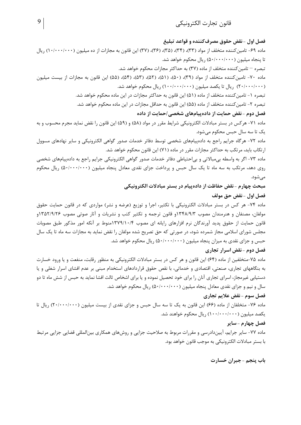# فصل اول –نقض حقوق مصرف كننده و قواعد تبليغ ماده ۶۹- تامین کننده متخلف از مواد (۳۳)، (۳۴)، (۳۵)، (۳۶)، (۳۷) این قانون به مجازات از ده میلیون (۱۰۰/۰۰۰/۰۰۰) ریال تا پنجاه میلیون (۵۰/۰۰۰/۰۰) ریال محکوم خواهد شد. تبصره — تامین کننده متخلف از ماده (۳۷) به حداکثر مجازات محکوم خواهد شد. ماده ۷۰- تامین کننده متخلف از مواد (۳۹)، (۵۰)، (۵۲)، (۵۳)، (۵۴)، (۵۴)، (۵۵) این قانون به مجازات از بیست میلیون (۲۰/۰۰۰/۰۰۰) , يال تا يكصد ميليون (۱۰۰/۰۰۰/۰۰۰) , يال محكوم خواهد شد. تبصره ١- تامين كننده متخلف از ماده (۵۱) اين قانون به حداكثر مجازات در اين ماده محكوم خواهد شد. تبصره ۲- تامین کننده متخلف از ماده (۵۵) این قانون به حداقل مجازات در این ماده محکوم خواهد شد. فصل دوم -نقض حمایت از داده پیامهای شخصی /حمایت از داده ماده ٧١- هركس در بستر مبادلات الكترونيكي شرايط مقرر در مواد (۵۸) و (۵۹) اين قانون را نقض نمايد مجرم محسوب و به یک تا سه سال حبس محکوم میشود. ماده ٧٢- هرگاه جرايم راجع به دادهپيامهاي شخصي توسط دفاتر خدمات صدور گواهي الكترونيكي و ساير نهادهاي مسوول ارتکاب باید، مرتکب به حداکثر مجازات مقرر در ماده (۷۱) این قانون محکوم خواهد شد. ماده ٧٣- اگر به واسطه بی مبالاتی و بی احتیاطی دفاتر خدمات صدور گواهی الکترونیکی جرایم راجع به دادهپیامهای شخصی روی دهد، مرتکب به سه ماه تا یک سال حبس و پرداخت جزای نقدی معادل پنجاه میلیون (۵۰/۰۰۰/۰۰۰) ریال محکوم مے شود. مبحث چهارم - نقض حفاظت از دادهپیام در بستر مبادلات الکترونیکی فصل اول - نقض حق مولف ماده ۷۴- هر کس در بستر مبادلات الکترونیکی با تکثیر، اجرا و توزیع (عرضه و نشر) مواردی که در قانون حمایت حقوق

مولفان، مصنفان و هنرمندان مصوب ۱۳۴۸/۹/۳و قانون ترجمه و تکثیر کتب و نشریات و آثار صوتی مصوب ۱۳۵۲/۹/۲۶و قانون حمایت از حقوق پدید آورندگان نرم افزارهای رایانه ای مصوب ۱۳۷۹/۱۰/۴منوط بر آنکه امور مذکور طبق مصوبات مجلس شورای اسلامی مجاز شمرده شود، در صورتی که حق تصریح شده مولفان را نقض نماید به مجازات سه ماه تا یک سال حبس و جزای نقدی به میزان پنجاه میلیون (۵۰/۰۰۰/۰۰۰) ریال محکوم خواهد شد.

# فصل دوم -نقض اسرار تجاري

ماده ۷۵-متخلفین از ماده (۶۴) این قانون و هر کس در بستر مبادلات الکترونیکی به منظور رقابت، منفعت و یا ورود خسارت به بنگاههای تجاری، صنعتی، اقتصادی و خدماتی، با نقص حقوق قراردادهای استخدام مبنی بر عدم افشای اسرار شغلی و یا دستیابی غیرمجاز، اسرای تجاری آنان را برای خود تحصیل نموده و یا برای اشخاص ثالث افشا نماید به حبس از شش ماه تا دو سال و نیم و جزای نقدی معادل پنجاه میلیون (۵۰/۰۰۰/۰۰۰) ریال محکوم خواهد شد.

## فصل سوم -نقض علايم تجاري

ماده ۷۶- متخلفان از ماده (۶۶) این قانون به یک تا سه سال حبس و جزای نقدی از بیست میلیون (۲۰۰۰۰۰/۰۰۰) ریال تا یکصد میلیون (۱۰۰/۰۰۰/۰۰۰) ریال محکوم خواهند شد.

# فصل چهارم – سایر

ماده ۷۷- سایر جرایم، آییندادرسی و مقررات مربوط به صلاحیت جزایی و روشهای همکاری بینالمللی قضایی جزایی مرتبط با بستر مبادلات الكترونيكي به موجب قانون خواهد بود.

باب پنجم - جبران خسارت